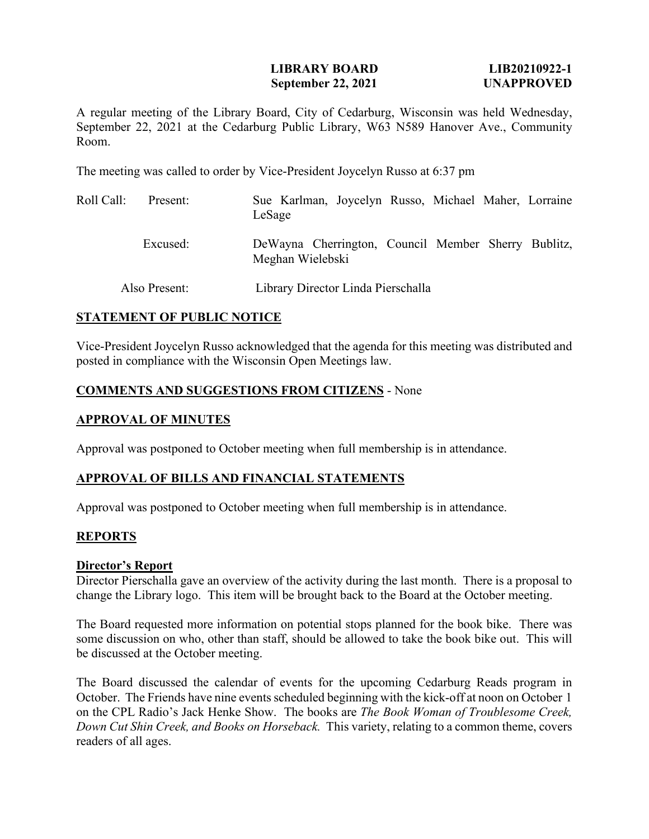### **LIBRARY BOARD LIB20210922-1 September 22, 2021 UNAPPROVED**

A regular meeting of the Library Board, City of Cedarburg, Wisconsin was held Wednesday, September 22, 2021 at the Cedarburg Public Library, W63 N589 Hanover Ave., Community Room.

The meeting was called to order by Vice-President Joycelyn Russo at 6:37 pm

| Roll Call:    | Present: | Sue Karlman, Joycelyn Russo, Michael Maher, Lorraine<br>LeSage          |  |  |  |  |  |
|---------------|----------|-------------------------------------------------------------------------|--|--|--|--|--|
|               | Excused: | DeWayna Cherrington, Council Member Sherry Bublitz,<br>Meghan Wielebski |  |  |  |  |  |
| Also Present: |          | Library Director Linda Pierschalla                                      |  |  |  |  |  |

### **STATEMENT OF PUBLIC NOTICE**

Vice-President Joycelyn Russo acknowledged that the agenda for this meeting was distributed and posted in compliance with the Wisconsin Open Meetings law.

## **COMMENTS AND SUGGESTIONS FROM CITIZENS** - None

### **APPROVAL OF MINUTES**

Approval was postponed to October meeting when full membership is in attendance.

#### **APPROVAL OF BILLS AND FINANCIAL STATEMENTS**

Approval was postponed to October meeting when full membership is in attendance.

## **REPORTS**

#### **Director's Report**

Director Pierschalla gave an overview of the activity during the last month. There is a proposal to change the Library logo. This item will be brought back to the Board at the October meeting.

The Board requested more information on potential stops planned for the book bike. There was some discussion on who, other than staff, should be allowed to take the book bike out. This will be discussed at the October meeting.

The Board discussed the calendar of events for the upcoming Cedarburg Reads program in October. The Friends have nine events scheduled beginning with the kick-off at noon on October 1 on the CPL Radio's Jack Henke Show. The books are *The Book Woman of Troublesome Creek, Down Cut Shin Creek, and Books on Horseback.* This variety, relating to a common theme, covers readers of all ages.